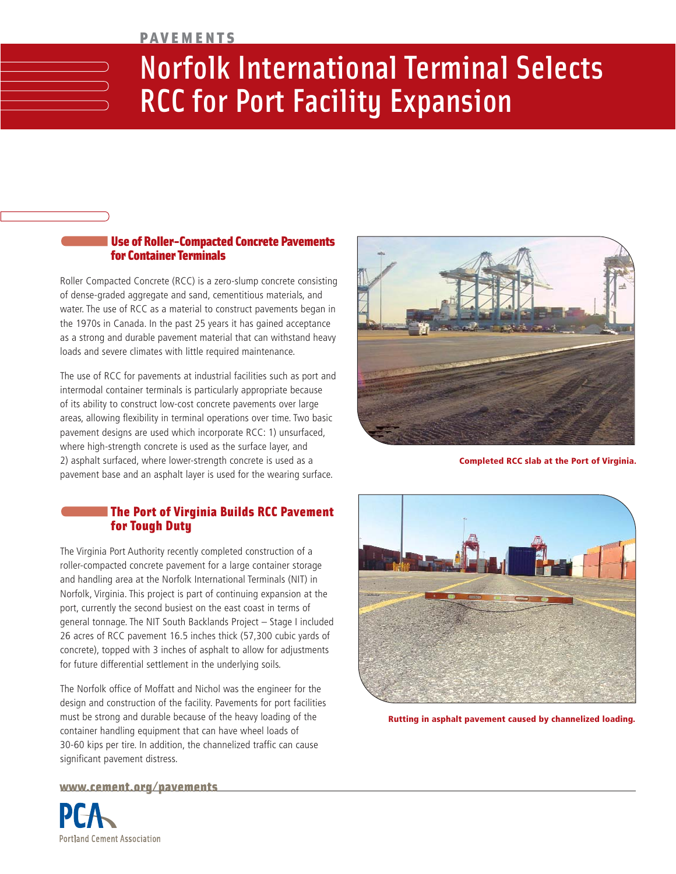#### PAVEMENTS

# Norfolk International Terminal Selects RCC for Port Facility Expansion

#### Use of Roller-Compacted Concrete Pavements for Container Terminals

Roller Compacted Concrete (RCC) is a zero-slump concrete consisting of dense-graded aggregate and sand, cementitious materials, and water. The use of RCC as a material to construct pavements began in the 1970s in Canada. In the past 25 years it has gained acceptance as a strong and durable pavement material that can withstand heavy loads and severe climates with little required maintenance.

The use of RCC for pavements at industrial facilities such as port and intermodal container terminals is particularly appropriate because of its ability to construct low-cost concrete pavements over large areas, allowing flexibility in terminal operations over time. Two basic pavement designs are used which incorporate RCC: 1) unsurfaced, where high-strength concrete is used as the surface layer, and 2) asphalt surfaced, where lower-strength concrete is used as a pavement base and an asphalt layer is used for the wearing surface.

#### The Port of Virginia Builds RCC Pavement for Tough Duty

The Virginia Port Authority recently completed construction of a roller-compacted concrete pavement for a large container storage and handling area at the Norfolk International Terminals (NIT) in Norfolk, Virginia. This project is part of continuing expansion at the port, currently the second busiest on the east coast in terms of general tonnage. The NIT South Backlands Project – Stage I included 26 acres of RCC pavement 16.5 inches thick (57,300 cubic yards of concrete), topped with 3 inches of asphalt to allow for adjustments for future differential settlement in the underlying soils.

The Norfolk office of Moffatt and Nichol was the engineer for the design and construction of the facility. Pavements for port facilities must be strong and durable because of the heavy loading of the container handling equipment that can have wheel loads of 30-60 kips per tire. In addition, the channelized traffic can cause significant pavement distress.



**Completed RCC slab at the Port of Virginia.**



**Rutting in asphalt pavement caused by channelized loading.**

www.cement.org/pavements